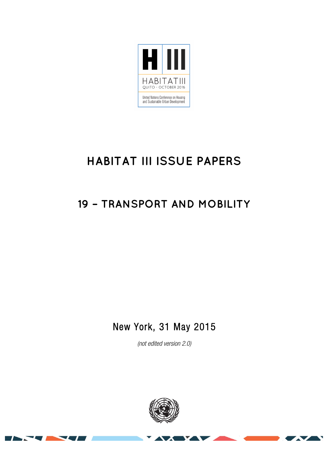

# **HABITAT III ISSUE PAPERS**

## **19 – TRANSPORT AND MOBILITY**

## New York, 31 May 2015

(not edited version 2.0)

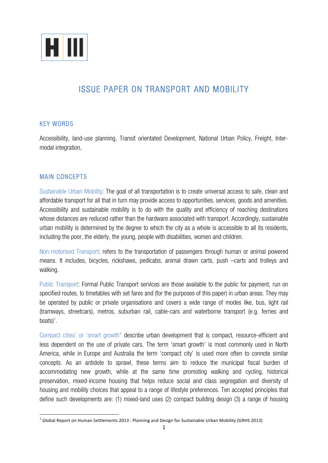

## ISSUE PAPER ON TRANSPORT AND MOBILITY

## KEY WORDS

Accessibility, land-use planning, Transit orientated Development, National Urban Policy, Freight, Intermodal integration,

## MAIN CONCEPTS

Sustainable Urban Mobility: The goal of all transportation is to create universal access to safe, clean and affordable transport for all that in turn may provide access to opportunities, services, goods and amenities. Accessibility and sustainable mobility is to do with the quality and efficiency of reaching destinations whose distances are reduced rather than the hardware associated with transport. Accordingly, sustainable urban mobility is determined by the degree to which the city as a whole is accessible to all its residents, including the poor, the elderly, the young, people with disabilities, women and children.

Non-motorised Transport: refers to the transportation of passengers through human or animal powered means. It includes, bicycles, rickshaws, pedicabs, animal drawn carts, push –carts and trolleys and walking.

Public Transport: Formal Public Transport services are those available to the public for payment, run on specified routes, to timetables with set fares and (for the purposes of this paper) in urban areas. They may be operated by public or private organisations and covers a wide range of modes like, bus, light rail (tramways, streetcars), metros, suburban rail, cable-cars and waterborne transport (e.g. ferries and boats)<sup>1</sup>.

Compact cities' or 'smart growth" describe urban development that is compact, resource-efficient and less dependent on the use of private cars. The term 'smart growth' is most commonly used in North America, while in Europe and Australia the term 'compact city' is used more often to connote similar concepts. As an antidote to sprawl, these terms aim to reduce the municipal fiscal burden of accommodating new growth, while at the same time promoting walking and cycling, historical preservation, mixed-income housing that helps reduce social and class segregation and diversity of housing and mobility choices that appeal to a range of lifestyle preferences. Ten accepted principles that define such developments are: (1) mixed-land uses (2) compact building design (3) a range of housing

 $1$  Global Report on Human Settlements 2013 : Planning and Design for Sustainable Urban Mobility (GRHS 2013)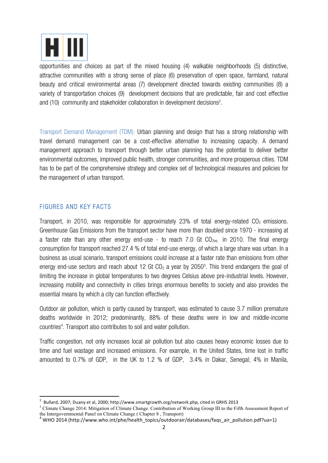

opportunities and choices as part of the mixed housing (4) walkable neighborhoods (5) distinctive, attractive communities with a strong sense of place (6) preservation of open space, farmland, natural beauty and critical environmental areas (7) development directed towards existing communities (8) a variety of transportation choices (9) development decisions that are predictable, fair and cost effective and (10) community and stakeholder collaboration in development decisions<sup>2</sup>.

Transport Demand Management (TDM): Urban planning and design that has a strong relationship with travel demand management can be a cost-effective alternative to increasing capacity. A demand management approach to transport through better urban planning has the potential to deliver better environmental outcomes, improved public health, stronger communities, and more prosperous cities. TDM has to be part of the comprehensive strategy and complex set of technological measures and policies for the management of urban transport.

## FIGURES AND KEY FACTS

Transport, in 2010, was responsible for approximately 23% of total energy-related  $CO<sub>2</sub>$  emissions. Greenhouse Gas Emissions from the transport sector have more than doubled since 1970 - increasing at a faster rate than any other energy end-use - to reach 7.0 Gt  $CO_{2eq}$  in 2010. The final energy consumption for transport reached 27.4 % of total end-use energy, of which a large share was urban. In a business as usual scenario, transport emissions could increase at a faster rate than emissions from other energy end-use sectors and reach about 12 Gt CO<sub>2</sub> a year by 2050<sup>3</sup>. This trend endangers the goal of limiting the increase in global temperatures to two degrees Celsius above pre-industrial levels. However, increasing mobility and connectivity in cities brings enormous benefits to society and also provides the essential means by which a city can function effectively.

Outdoor air pollution, which is partly caused by transport, was estimated to cause 3.7 million premature deaths worldwide in 2012; predominantly, 88% of these deaths were in low and middle-income countries4 . Transport also contributes to soil and water pollution.

Traffic congestion, not only increases local air pollution but also causes heavy economic losses due to time and fuel wastage and increased emissions. For example, in the United States, time lost in traffic amounted to 0.7% of GDP, in the UK to 1.2 % of GDP, 3.4% in Dakar, Senegal; 4% in Manila,

<sup>&</sup>lt;u>perfect</u><br>2 Bullard, 2007; Duany et al, 2000; http://www.smartgrowth.org/network.php, cited in GRHS 2013<br>2 Bullard, 2007; Duany et al, 2000; http://www.smartgrowth.org/network.php, cited in GRHS

<sup>&</sup>lt;sup>3</sup> Climate Change 2014: Mitigation of Climate Change. Contribution of Working Group III to the Fifth Assessment Report of the Intergovernmental Panel on Climate Change ( Chapter 8 , Transport)

 $4$  WHO 2014 (http://www.who.int/phe/health\_topics/outdoorair/databases/faqs\_air\_pollution.pdf?ua=1)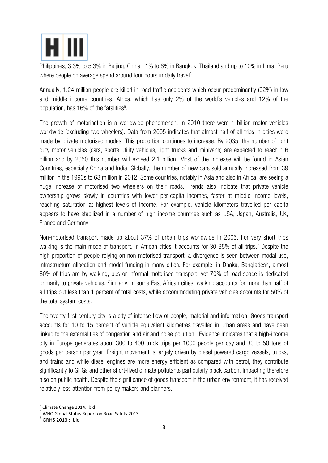

Philippines, 3.3% to 5.3% in Beijing, China ; 1% to 6% in Bangkok, Thailand and up to 10% in Lima, Peru where people on average spend around four hours in daily travel<sup>5</sup>.

Annually, 1.24 million people are killed in road traffic accidents which occur predominantly (92%) in low and middle income countries. Africa, which has only 2% of the world's vehicles and 12% of the population, has 16% of the fatalities $6$ .

The growth of motorisation is a worldwide phenomenon. In 2010 there were 1 billion motor vehicles worldwide (excluding two wheelers). Data from 2005 indicates that almost half of all trips in cities were made by private motorised modes. This proportion continues to increase. By 2035, the number of light duty motor vehicles (cars, sports utility vehicles, light trucks and minivans) are expected to reach 1.6 billion and by 2050 this number will exceed 2.1 billion. Most of the increase will be found in Asian Countries, especially China and India. Globally, the number of new cars sold annually increased from 39 million in the 1990s to 63 million in 2012. Some countries, notably in Asia and also in Africa, are seeing a huge increase of motorised two wheelers on their roads. Trends also indicate that private vehicle ownership grows slowly in countries with lower per-capita incomes, faster at middle income levels, reaching saturation at highest levels of income. For example, vehicle kilometers travelled per capita appears to have stabilized in a number of high income countries such as USA, Japan, Australia, UK, France and Germany.

Non-motorised transport made up about 37% of urban trips worldwide in 2005. For very short trips walking is the main mode of transport. In African cities it accounts for 30-35% of all trips.<sup>7</sup> Despite the high proportion of people relying on non-motorised transport, a divergence is seen between modal use, infrastructure allocation and modal funding in many cities. For example, in Dhaka, Bangladesh, almost 80% of trips are by walking, bus or informal motorised transport, yet 70% of road space is dedicated primarily to private vehicles. Similarly, in some East African cities, walking accounts for more than half of all trips but less than 1 percent of total costs, while accommodating private vehicles accounts for 50% of the total system costs.

The twenty-first century city is a city of intense flow of people, material and information. Goods transport accounts for 10 to 15 percent of vehicle equivalent kilometres travelled in urban areas and have been linked to the externalities of congestion and air and noise pollution. Evidence indicates that a high-income city in Europe generates about 300 to 400 truck trips per 1000 people per day and 30 to 50 tons of goods per person per year. Freight movement is largely driven by diesel powered cargo vessels, trucks, and trains and while diesel engines are more energy efficient as compared with petrol, they contribute significantly to GHGs and other short-lived climate pollutants particularly black carbon, impacting therefore also on public health. Despite the significance of goods transport in the urban environment, it has received relatively less attention from policy makers and planners.

 $^5$  Climate Change 2014: ibid<br> $^6$  WHO Global Status Report on Road Safety 2013

 $<sup>7</sup>$  GRHS 2013 : ibid</sup>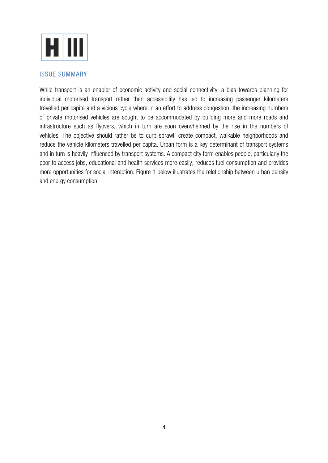

#### ISSUE SUMMARY

While transport is an enabler of economic activity and social connectivity, a bias towards planning for individual motorised transport rather than accessibility has led to increasing passenger kilometers travelled per capita and a vicious cycle where in an effort to address congestion, the increasing numbers of private motorised vehicles are sought to be accommodated by building more and more roads and infrastructure such as flyovers, which in turn are soon overwhelmed by the rise in the numbers of vehicles. The objective should rather be to curb sprawl, create compact, walkable neighborhoods and reduce the vehicle kilometers travelled per capita. Urban form is a key determinant of transport systems and in turn is heavily influenced by transport systems. A compact city form enables people, particularly the poor to access jobs, educational and health services more easily, reduces fuel consumption and provides more opportunities for social interaction. Figure 1 below illustrates the relationship between urban density and energy consumption.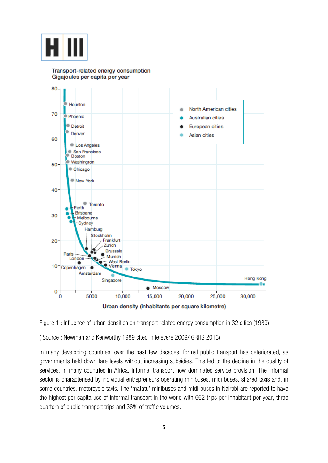

#### Transport-related energy consumption Gigajoules per capita per year







( Source : Newman and Kenworthy 1989 cited in lefevere 2009/ GRHS 2013)

In many developing countries, over the past few decades, formal public transport has deteriorated, as governments held down fare levels without increasing subsidies. This led to the decline in the quality of services. In many countries in Africa, informal transport now dominates service provision. The informal sector is characterised by individual entrepreneurs operating minibuses, midi buses, shared taxis and, in some countries, motorcycle taxis. The 'matatu' minibuses and midi-buses in Nairobi are reported to have the highest per capita use of informal transport in the world with 662 trips per inhabitant per year, three quarters of public transport trips and 36% of traffic volumes.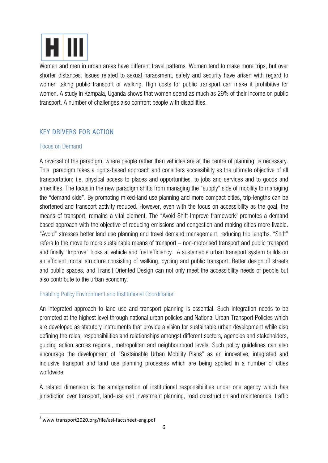

Women and men in urban areas have different travel patterns. Women tend to make more trips, but over shorter distances. Issues related to sexual harassment, safety and security have arisen with regard to women taking public transport or walking. High costs for public transport can make it prohibitive for women. A study in Kampala, Uganda shows that women spend as much as 29% of their income on public transport. A number of challenges also confront people with disabilities.

## KEY DRIVERS FOR ACTION

### Focus on Demand

A reversal of the paradigm, where people rather than vehicles are at the centre of planning, is necessary. This paradigm takes a rights-based approach and considers accessibility as the ultimate objective of all transportation; i.e. physical access to places and opportunities, to jobs and services and to goods and amenities. The focus in the new paradigm shifts from managing the "supply" side of mobility to managing the "demand side". By promoting mixed-land use planning and more compact cities, trip-lengths can be shortened and transport activity reduced. However, even with the focus on accessibility as the goal, the means of transport, remains a vital element. The "Avoid-Shift-Improve framework<sup>8</sup> promotes a demand based approach with the objective of reducing emissions and congestion and making cities more livable. "Avoid" stresses better land use planning and travel demand management, reducing trip lengths. "Shift" refers to the move to more sustainable means of transport – non-motorised transport and public transport and finally "Improve" looks at vehicle and fuel efficiency. A sustainable urban transport system builds on an efficient modal structure consisting of walking, cycling and public transport. Better design of streets and public spaces, and Transit Oriented Design can not only meet the accessibility needs of people but also contribute to the urban economy.

## Enabling Policy Environment and Institutional Coordination

An integrated approach to land use and transport planning is essential. Such integration needs to be promoted at the highest level through national urban policies and National Urban Transport Policies which are developed as statutory instruments that provide a vision for sustainable urban development while also defining the roles, responsibilities and relationships amongst different sectors, agencies and stakeholders, guiding action across regional, metropolitan and neighbourhood levels. Such policy guidelines can also encourage the development of "Sustainable Urban Mobility Plans" as an innovative, integrated and inclusive transport and land use planning processes which are being applied in a number of cities worldwide.

A related dimension is the amalgamation of institutional responsibilities under one agency which has jurisdiction over transport, land-use and investment planning, road construction and maintenance, traffic

<u> 1989 - Jan Samuel Barbara, político establecido de la provincia de la provincia de la provincia de la provinci</u>

<sup>8</sup> www.transport2020.org/file/asi-factsheet-eng.pdf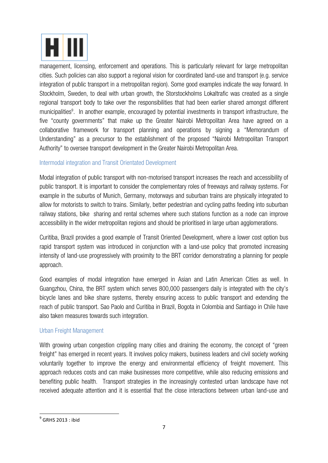

management, licensing, enforcement and operations. This is particularly relevant for large metropolitan cities. Such policies can also support a regional vision for coordinated land-use and transport (e.g. service integration of public transport in a metropolitan region). Some good examples indicate the way forward. In Stockholm, Sweden, to deal with urban growth, the Storstockholms Lokaltrafic was created as a single regional transport body to take over the responsibilities that had been earlier shared amongst different municipalities<sup>9</sup>. In another example, encouraged by potential investments in transport infrastructure, the five "county governments" that make up the Greater Nairobi Metropolitan Area have agreed on a collaborative framework for transport planning and operations by signing a "Memorandum of Understanding" as a precursor to the establishment of the proposed "Nairobi Metropolitan Transport Authority" to oversee transport development in the Greater Nairobi Metropolitan Area.

## Intermodal integration and Transit Orientated Development

Modal integration of public transport with non-motorised transport increases the reach and accessibility of public transport. It is important to consider the complementary roles of freeways and railway systems. For example in the suburbs of Munich, Germany, motorways and suburban trains are physically integrated to allow for motorists to switch to trains. Similarly, better pedestrian and cycling paths feeding into suburban railway stations, bike sharing and rental schemes where such stations function as a node can improve accessibility in the wider metropolitan regions and should be prioritised in large urban agglomerations.

Curitiba, Brazil provides a good example of Transit Oriented Development, where a lower cost option bus rapid transport system was introduced in conjunction with a land-use policy that promoted increasing intensity of land-use progressively with proximity to the BRT corridor demonstrating a planning for people approach.

Good examples of modal integration have emerged in Asian and Latin American Cities as well. In Guangzhou, China, the BRT system which serves 800,000 passengers daily is integrated with the city's bicycle lanes and bike share systems, thereby ensuring access to public transport and extending the reach of public transport. Sao Paolo and Curitiba in Brazil, Bogota in Colombia and Santiago in Chile have also taken measures towards such integration.

### Urban Freight Management

With growing urban congestion crippling many cities and draining the economy, the concept of "green" freight" has emerged in recent years. It involves policy makers, business leaders and civil society working voluntarily together to improve the energy and environmental efficiency of freight movement. This approach reduces costs and can make businesses more competitive, while also reducing emissions and benefiting public health. Transport strategies in the increasingly contested urban landscape have not received adequate attention and it is essential that the close interactions between urban land-use and

<sup>&</sup>lt;u> 1989 - Jan Samuel Barbara, político establecido de la provincia de la provincia de la provincia de la provinci</u>  $9^9$  GRHS 2013 : ibid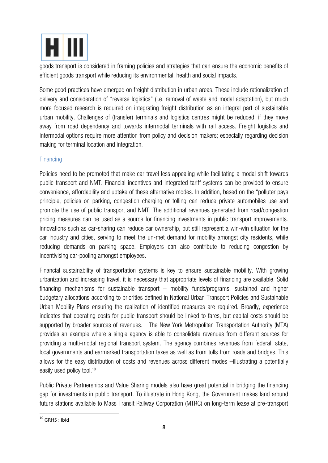

goods transport is considered in framing policies and strategies that can ensure the economic benefits of efficient goods transport while reducing its environmental, health and social impacts.

Some good practices have emerged on freight distribution in urban areas. These include rationalization of delivery and consideration of "reverse logistics" (i.e. removal of waste and modal adaptation), but much more focused research is required on integrating freight distribution as an integral part of sustainable urban mobility. Challenges of (transfer) terminals and logistics centres might be reduced, if they move away from road dependency and towards intermodal terminals with rail access. Freight logistics and intermodal options require more attention from policy and decision makers; especially regarding decision making for terminal location and integration.

## **Financing**

Policies need to be promoted that make car travel less appealing while facilitating a modal shift towards public transport and NMT. Financial incentives and integrated tariff systems can be provided to ensure convenience, affordability and uptake of these alternative modes. In addition, based on the "polluter pays principle, policies on parking, congestion charging or tolling can reduce private automobiles use and promote the use of public transport and NMT. The additional revenues generated from road/congestion pricing measures can be used as a source for financing investments in public transport improvements. Innovations such as car-sharing can reduce car ownership, but still represent a win-win situation for the car industry and cities, serving to meet the un-met demand for mobility amongst city residents, while reducing demands on parking space. Employers can also contribute to reducing congestion by incentivising car-pooling amongst employees.

Financial sustainability of transportation systems is key to ensure sustainable mobility. With growing urbanization and increasing travel, it is necessary that appropriate levels of financing are available. Solid financing mechanisms for sustainable transport – mobility funds/programs, sustained and higher budgetary allocations according to priorities defined in National Urban Transport Policies and Sustainable Urban Mobility Plans ensuring the realization of identified measures are required. Broadly, experience indicates that operating costs for public transport should be linked to fares, but capital costs should be supported by broader sources of revenues. The New York Metropolitan Transportation Authority (MTA) provides an example where a single agency is able to consolidate revenues from different sources for providing a multi-modal regional transport system. The agency combines revenues from federal, state, local governments and earmarked transportation taxes as well as from tolls from roads and bridges. This allows for the easy distribution of costs and revenues across different modes –illustrating a potentially easily used policy tool.10

Public Private Partnerships and Value Sharing models also have great potential in bridging the financing gap for investments in public transport. To illustrate in Hong Kong, the Government makes land around future stations available to Mass Transit Railway Corporation (MTRC) on long-term lease at pre-transport

<sup>&</sup>lt;u> 1989 - Jan Samuel Barbara, político establecido de la provincia de la provincia de la provincia de la provinci</u>  $10$  GRHS : ibid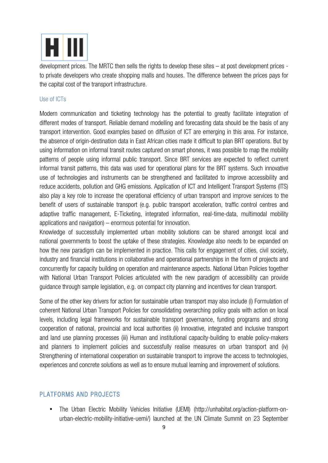

development prices. The MRTC then sells the rights to develop these sites – at post development prices to private developers who create shopping malls and houses. The difference between the prices pays for the capital cost of the transport infrastructure.

#### Use of ICTs

Modern communication and ticketing technology has the potential to greatly facilitate integration of different modes of transport. Reliable demand modelling and forecasting data should be the basis of any transport intervention. Good examples based on diffusion of ICT are emerging in this area. For instance, the absence of origin-destination data in East African cities made it difficult to plan BRT operations. But by using information on informal transit routes captured on smart phones, it was possible to map the mobility patterns of people using informal public transport. Since BRT services are expected to reflect current informal transit patterns, this data was used for operational plans for the BRT systems. Such innovative use of technologies and instruments can be strengthened and facilitated to improve accessibility and reduce accidents, pollution and GHG emissions. Application of ICT and Intelligent Transport Systems (ITS) also play a key role to increase the operational efficiency of urban transport and improve services to the benefit of users of sustainable transport (e.g. public transport acceleration, traffic control centres and adaptive traffic management, E-Ticketing, integrated information, real-time-data, multimodal mobility applications and navigation) – enormous potential for innovation.

Knowledge of successfully implemented urban mobility solutions can be shared amongst local and national governments to boost the uptake of these strategies. Knowledge also needs to be expanded on how the new paradigm can be implemented in practice. This calls for engagement of cities, civil society, industry and financial institutions in collaborative and operational partnerships in the form of projects and concurrently for capacity building on operation and maintenance aspects. National Urban Policies together with National Urban Transport Policies articulated with the new paradigm of accessibility can provide guidance through sample legislation, e.g. on compact city planning and incentives for clean transport.

Some of the other key drivers for action for sustainable urban transport may also include (i) Formulation of coherent National Urban Transport Policies for consolidating overarching policy goals with action on local levels, including legal frameworks for sustainable transport governance, funding programs and strong cooperation of national, provincial and local authorities (ii) Innovative, integrated and inclusive transport and land use planning processes (iii) Human and institutional capacity-building to enable policy-makers and planners to implement policies and successfully realise measures on urban transport and (iv) Strengthening of international cooperation on sustainable transport to improve the access to technologies, experiences and concrete solutions as well as to ensure mutual learning and improvement of solutions.

### PLATFORMS AND PROJECTS

• The Urban Electric Mobility Vehicles Initiative (UEMI) (http://unhabitat.org/action-platform-onurban-electric-mobility-initiative-uemi/) launched at the UN Climate Summit on 23 September